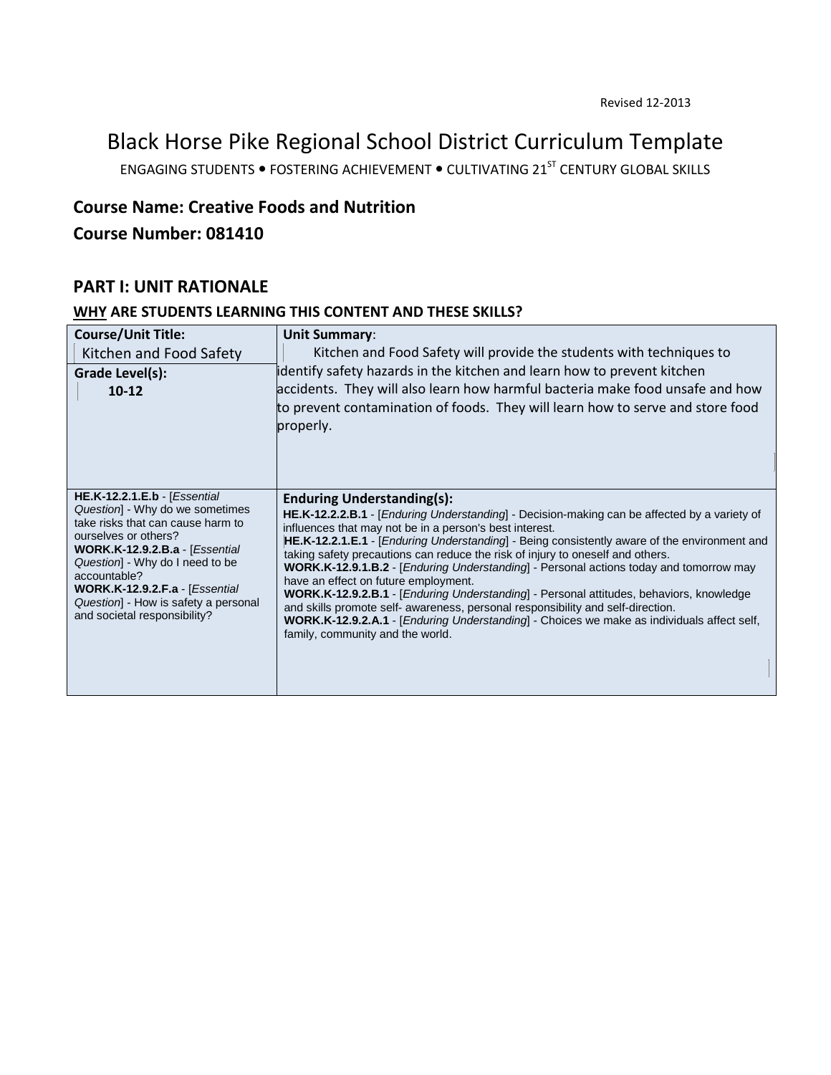Black Horse Pike Regional School District Curriculum Template

ENGAGING STUDENTS . FOSTERING ACHIEVEMENT . CULTIVATING 21<sup>ST</sup> CENTURY GLOBAL SKILLS

## **Course Name: Creative Foods and Nutrition**

## **Course Number: 081410**

## **PART I: UNIT RATIONALE**

#### **WHY ARE STUDENTS LEARNING THIS CONTENT AND THESE SKILLS?**

| <b>Course/Unit Title:</b><br>Kitchen and Food Safety<br>Grade Level(s):<br>$10 - 12$                                                                                                                                                                                                                                                                         | <b>Unit Summary:</b><br>Kitchen and Food Safety will provide the students with techniques to<br>identify safety hazards in the kitchen and learn how to prevent kitchen<br>accidents. They will also learn how harmful bacteria make food unsafe and how<br>to prevent contamination of foods. They will learn how to serve and store food<br>properly.                                                                                                                                                                                                                                                                                                                                                                                                                                                                                                                          |
|--------------------------------------------------------------------------------------------------------------------------------------------------------------------------------------------------------------------------------------------------------------------------------------------------------------------------------------------------------------|----------------------------------------------------------------------------------------------------------------------------------------------------------------------------------------------------------------------------------------------------------------------------------------------------------------------------------------------------------------------------------------------------------------------------------------------------------------------------------------------------------------------------------------------------------------------------------------------------------------------------------------------------------------------------------------------------------------------------------------------------------------------------------------------------------------------------------------------------------------------------------|
| $HE.K-12.2.1.E.b - [Essential]$<br>Question] - Why do we sometimes<br>take risks that can cause harm to<br>ourselves or others?<br><b>WORK.K-12.9.2.B.a</b> - [ <i>Essential</i><br>Question] - Why do I need to be<br>accountable?<br><b>WORK.K-12.9.2.F.a</b> - [ <i>Essential</i><br>Question] - How is safety a personal<br>and societal responsibility? | <b>Enduring Understanding(s):</b><br>HE.K-12.2.2.B.1 - [Enduring Understanding] - Decision-making can be affected by a variety of<br>influences that may not be in a person's best interest.<br>HE.K-12.2.1.E.1 - [Enduring Understanding] - Being consistently aware of the environment and<br>taking safety precautions can reduce the risk of injury to oneself and others.<br><b>WORK.K-12.9.1.B.2</b> - [ <i>Enduring Understanding</i> ] - Personal actions today and tomorrow may<br>have an effect on future employment.<br><b>WORK.K-12.9.2.B.1</b> - [ <i>Enduring Understanding</i> ] - Personal attitudes, behaviors, knowledge<br>and skills promote self- awareness, personal responsibility and self-direction.<br><b>WORK.K-12.9.2.A.1</b> - [ <i>Enduring Understanding</i> ] - Choices we make as individuals affect self,<br>family, community and the world. |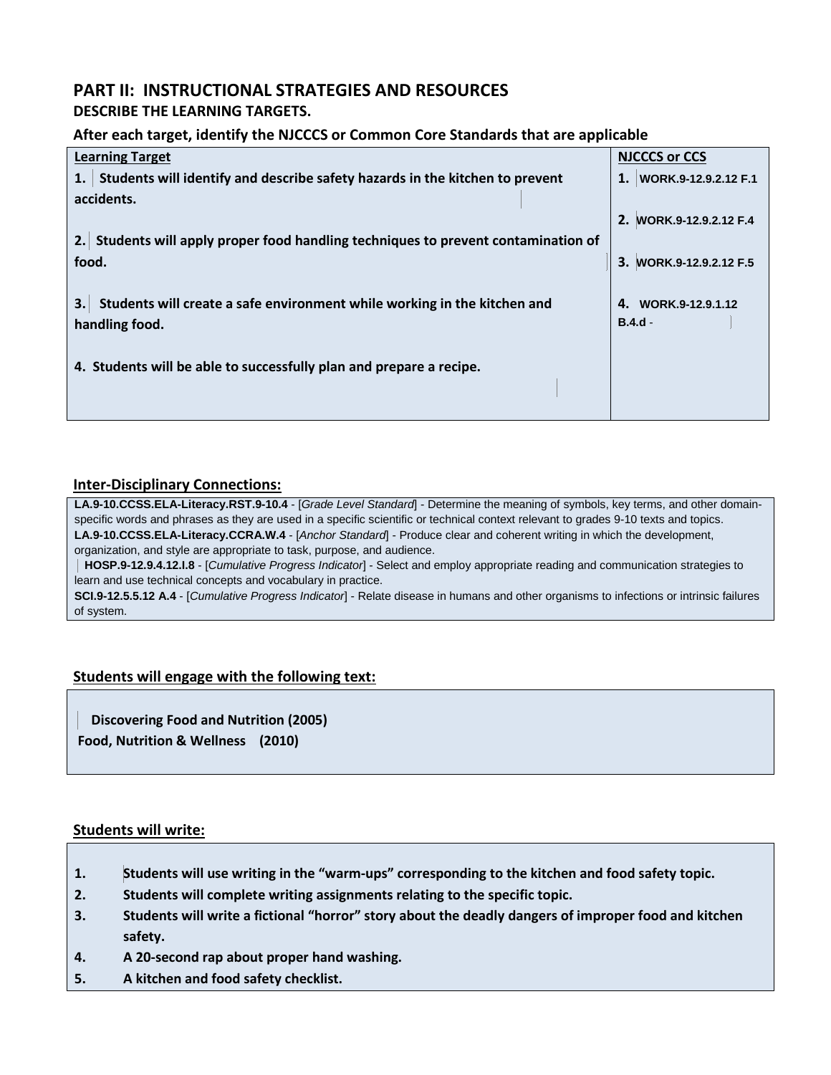# **PART II: INSTRUCTIONAL STRATEGIES AND RESOURCES**

## **DESCRIBE THE LEARNING TARGETS.**

#### **After each target, identify the NJCCCS or Common Core Standards that are applicable**

| <b>Learning Target</b>                                                             | <b>NJCCCS or CCS</b>    |
|------------------------------------------------------------------------------------|-------------------------|
| Students will identify and describe safety hazards in the kitchen to prevent       | 1. WORK.9-12.9.2.12 F.1 |
| accidents.                                                                         |                         |
|                                                                                    | 2. WORK.9-12.9.2.12 F.4 |
| 2. Students will apply proper food handling techniques to prevent contamination of |                         |
| food.                                                                              | WORK.9-12.9.2.12 F.5    |
|                                                                                    |                         |
| Students will create a safe environment while working in the kitchen and           | 4. WORK.9-12.9.1.12     |
| handling food.                                                                     | $B.4.d -$               |
|                                                                                    |                         |
| 4. Students will be able to successfully plan and prepare a recipe.                |                         |
|                                                                                    |                         |
|                                                                                    |                         |

#### **Inter-Disciplinary Connections:**

**LA.9-10.CCSS.ELA-Literacy.RST.9-10.4** - [*Grade Level Standard*] - Determine the meaning of symbols, key terms, and other domainspecific words and phrases as they are used in a specific scientific or technical context relevant to grades 9-10 texts and topics. **LA.9-10.CCSS.ELA-Literacy.CCRA.W.4** - [*Anchor Standard*] - Produce clear and coherent writing in which the development, organization, and style are appropriate to task, purpose, and audience.

 **HOSP.9-12.9.4.12.I.8** - [*Cumulative Progress Indicator*] - Select and employ appropriate reading and communication strategies to learn and use technical concepts and vocabulary in practice.

**SCI.9-12.5.5.12 A.4** - [*Cumulative Progress Indicator*] - Relate disease in humans and other organisms to infections or intrinsic failures of system.

#### **Students will engage with the following text:**

| <b>Discovering Food and Nutrition (2005)</b> |  |
|----------------------------------------------|--|
| Food, Nutrition & Wellness (2010)            |  |

#### **Students will write:**

- **1. Students will use writing in the "warm-ups" corresponding to the kitchen and food safety topic.**
- **2. Students will complete writing assignments relating to the specific topic.**
- **3. Students will write a fictional "horror" story about the deadly dangers of improper food and kitchen safety.**
- **4. A 20-second rap about proper hand washing.**
- **5. A kitchen and food safety checklist.**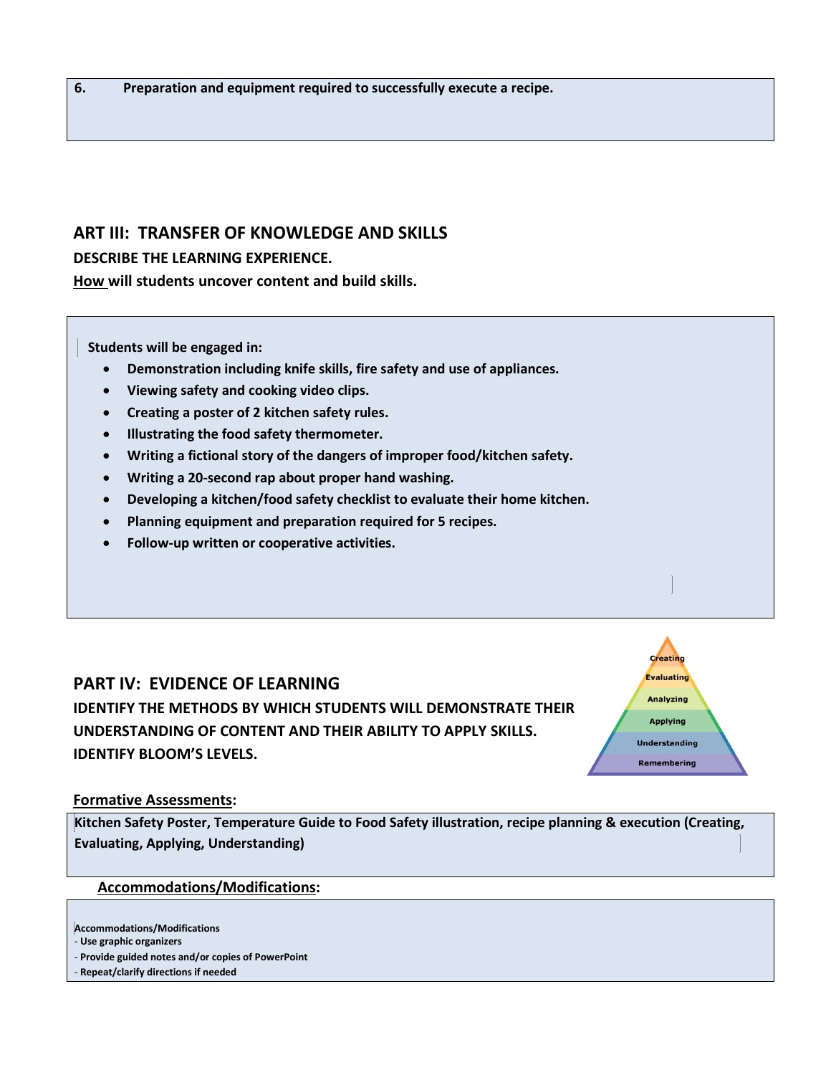## **ART III: TRANSFER OF KNOWLEDGE AND SKILLS**

### **DESCRIBE THE LEARNING EXPERIENCE.**

**How will students uncover content and build skills.** 

 **Students will be engaged in:**

- **Demonstration including knife skills, fire safety and use of appliances.**
- **Viewing safety and cooking video clips.**
- **Creating a poster of 2 kitchen safety rules.**
- **Illustrating the food safety thermometer.**
- **Writing a fictional story of the dangers of improper food/kitchen safety.**
- **Writing a 20-second rap about proper hand washing.**
- **Developing a kitchen/food safety checklist to evaluate their home kitchen.**
- **Planning equipment and preparation required for 5 recipes.**
- **Follow-up written or cooperative activities.**

## **PART IV: EVIDENCE OF LEARNING**

**IDENTIFY THE METHODS BY WHICH STUDENTS WILL DEMONSTRATE THEIR UNDERSTANDING OF CONTENT AND THEIR ABILITY TO APPLY SKILLS. IDENTIFY BLOOM'S LEVELS.** 



#### **Formative Assessments:**

**Kitchen Safety Poster, Temperature Guide to Food Safety illustration, recipe planning & execution (Creating, Evaluating, Applying, Understanding)** 

#### **Accommodations/Modifications:**

- **Provide guided notes and/or copies of PowerPoint**
- **Repeat/clarify directions if needed**

**Accommodations/Modifications** 

<sup>-</sup> **Use graphic organizers**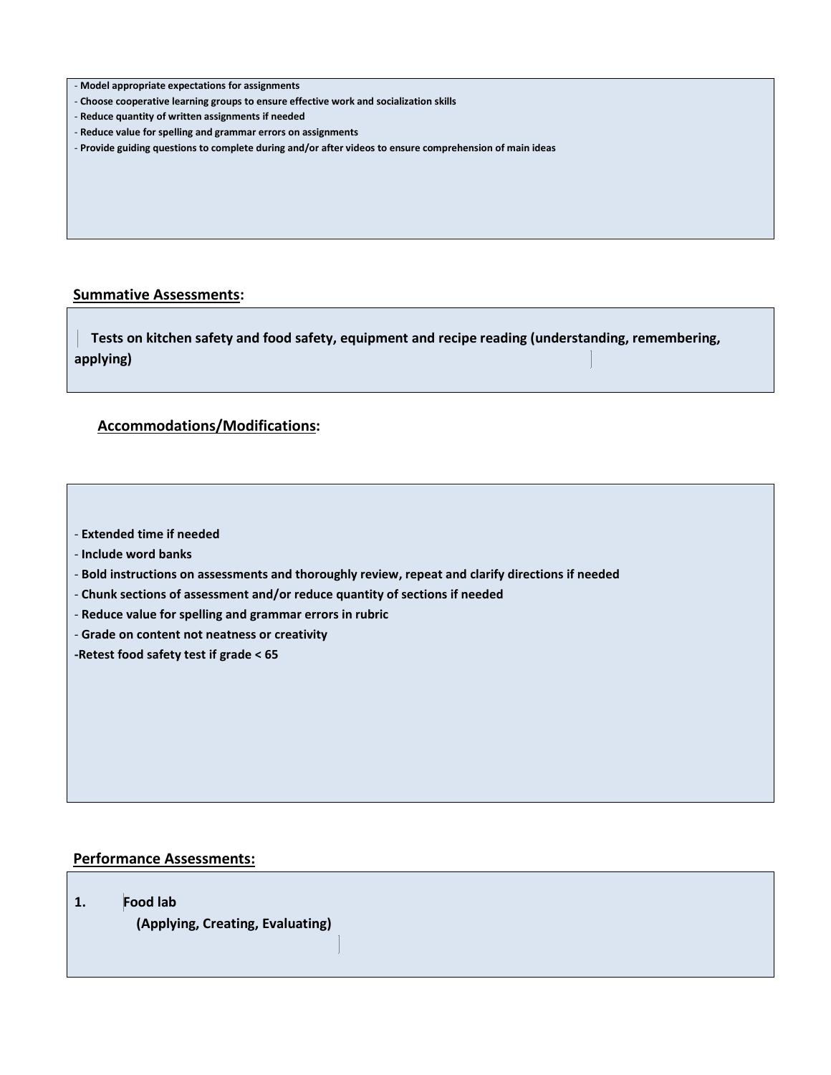|  | - Model appropriate expectations for assignments |  |  |
|--|--------------------------------------------------|--|--|
|--|--------------------------------------------------|--|--|

- **Choose cooperative learning groups to ensure effective work and socialization skills**
- **Reduce quantity of written assignments if needed**
- **Reduce value for spelling and grammar errors on assignments**
- **Provide guiding questions to complete during and/or after videos to ensure comprehension of main ideas**

#### **Summative Assessments:**

 **Tests on kitchen safety and food safety, equipment and recipe reading (understanding, remembering, applying)** 

#### **Accommodations/Modifications:**

- **Extended time if needed** 

- **Include word banks**
- **Bold instructions on assessments and thoroughly review, repeat and clarify directions if needed**
- **Chunk sections of assessment and/or reduce quantity of sections if needed**
- **Reduce value for spelling and grammar errors in rubric**
- **Grade on content not neatness or creativity**

**-Retest food safety test if grade < 65**

#### **Performance Assessments:**

**1. Food lab** 

**(Applying, Creating, Evaluating)**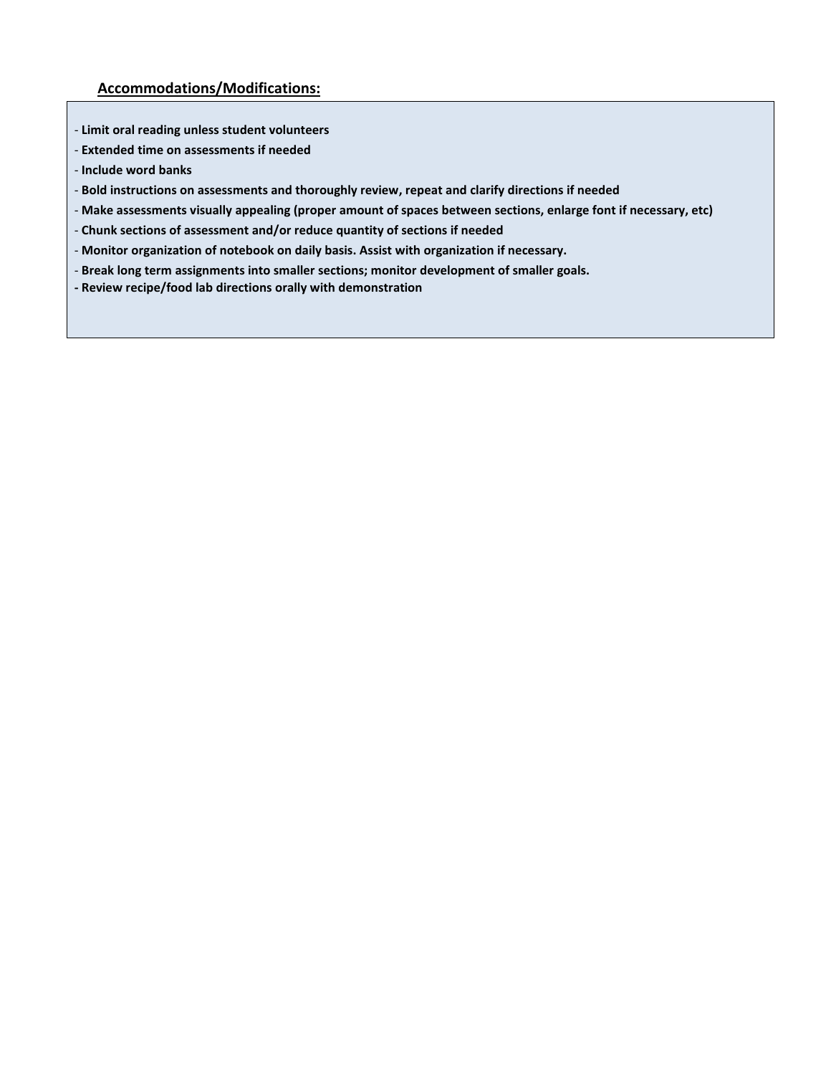- **Limit oral reading unless student volunteers**
- **Extended time on assessments if needed**
- **Include word banks**
- **Bold instructions on assessments and thoroughly review, repeat and clarify directions if needed**
- **Make assessments visually appealing (proper amount of spaces between sections, enlarge font if necessary, etc)**
- **Chunk sections of assessment and/or reduce quantity of sections if needed**
- **Monitor organization of notebook on daily basis. Assist with organization if necessary.**
- **Break long term assignments into smaller sections; monitor development of smaller goals.**
- **- Review recipe/food lab directions orally with demonstration**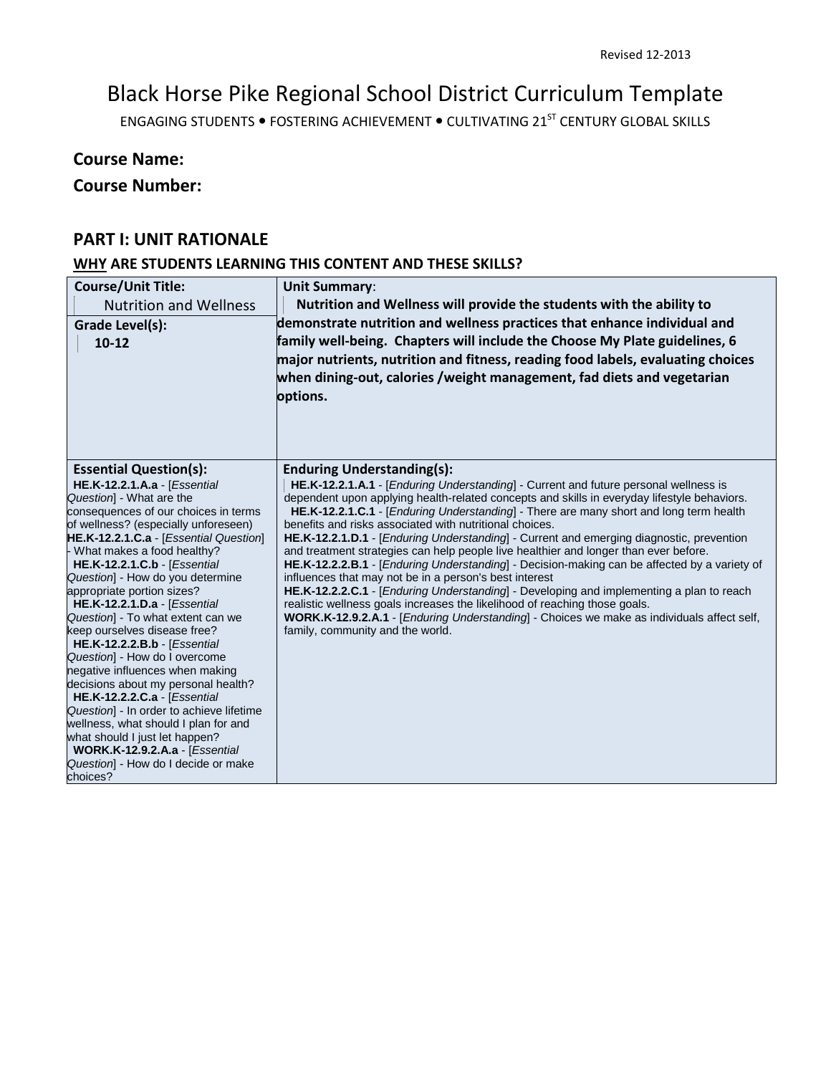# Black Horse Pike Regional School District Curriculum Template

ENGAGING STUDENTS . FOSTERING ACHIEVEMENT . CULTIVATING 21<sup>ST</sup> CENTURY GLOBAL SKILLS

## **Course Name:**

## **Course Number:**

## **PART I: UNIT RATIONALE**

## **WHY ARE STUDENTS LEARNING THIS CONTENT AND THESE SKILLS?**

| <b>Course/Unit Title:</b><br><b>Nutrition and Wellness</b><br>Grade Level(s):<br>$10-12$                                                                                                                                                                                                                                                                                                                                                                                                                                                                                                                                                                                                                                                                                                                                                                                          | <b>Unit Summary:</b><br>Nutrition and Wellness will provide the students with the ability to<br>demonstrate nutrition and wellness practices that enhance individual and<br>family well-being. Chapters will include the Choose My Plate guidelines, 6<br>major nutrients, nutrition and fitness, reading food labels, evaluating choices<br>when dining-out, calories /weight management, fad diets and vegetarian<br>options.                                                                                                                                                                                                                                                                                                                                                                                                                                                                                                                                                                                                                           |
|-----------------------------------------------------------------------------------------------------------------------------------------------------------------------------------------------------------------------------------------------------------------------------------------------------------------------------------------------------------------------------------------------------------------------------------------------------------------------------------------------------------------------------------------------------------------------------------------------------------------------------------------------------------------------------------------------------------------------------------------------------------------------------------------------------------------------------------------------------------------------------------|-----------------------------------------------------------------------------------------------------------------------------------------------------------------------------------------------------------------------------------------------------------------------------------------------------------------------------------------------------------------------------------------------------------------------------------------------------------------------------------------------------------------------------------------------------------------------------------------------------------------------------------------------------------------------------------------------------------------------------------------------------------------------------------------------------------------------------------------------------------------------------------------------------------------------------------------------------------------------------------------------------------------------------------------------------------|
| <b>Essential Question(s):</b><br>HE.K-12.2.1.A.a - [Essential<br>Question] - What are the<br>consequences of our choices in terms<br>of wellness? (especially unforeseen)<br>HE.K-12.2.1.C.a - [Essential Question]<br>What makes a food healthy?<br><b>HE.K-12.2.1.C.b - [Essential</b><br>Question] - How do you determine<br>appropriate portion sizes?<br><b>HE.K-12.2.1.D.a - [Essential</b><br>Question] - To what extent can we<br>keep ourselves disease free?<br><b>HE.K-12.2.2.B.b - [Essential</b><br>Question] - How do I overcome<br>negative influences when making<br>decisions about my personal health?<br><b>HE.K-12.2.2.C.a - [Essential</b><br>Question] - In order to achieve lifetime<br>wellness, what should I plan for and<br>what should I just let happen?<br><b>WORK.K-12.9.2.A.a - [Essential</b><br>Question] - How do I decide or make<br>choices? | <b>Enduring Understanding(s):</b><br>HE.K-12.2.1.A.1 - [ <i>Enduring Understanding</i> ] - Current and future personal wellness is<br>dependent upon applying health-related concepts and skills in everyday lifestyle behaviors.<br>HE.K-12.2.1.C.1 - [Enduring Understanding] - There are many short and long term health<br>benefits and risks associated with nutritional choices.<br>HE.K-12.2.1.D.1 - [Enduring Understanding] - Current and emerging diagnostic, prevention<br>and treatment strategies can help people live healthier and longer than ever before.<br>HE.K-12.2.2.B.1 - [ <i>Enduring Understanding</i> ] - Decision-making can be affected by a variety of<br>influences that may not be in a person's best interest<br>HE.K-12.2.2.C.1 - [Enduring Understanding] - Developing and implementing a plan to reach<br>realistic wellness goals increases the likelihood of reaching those goals.<br>WORK.K-12.9.2.A.1 - [Enduring Understanding] - Choices we make as individuals affect self,<br>family, community and the world. |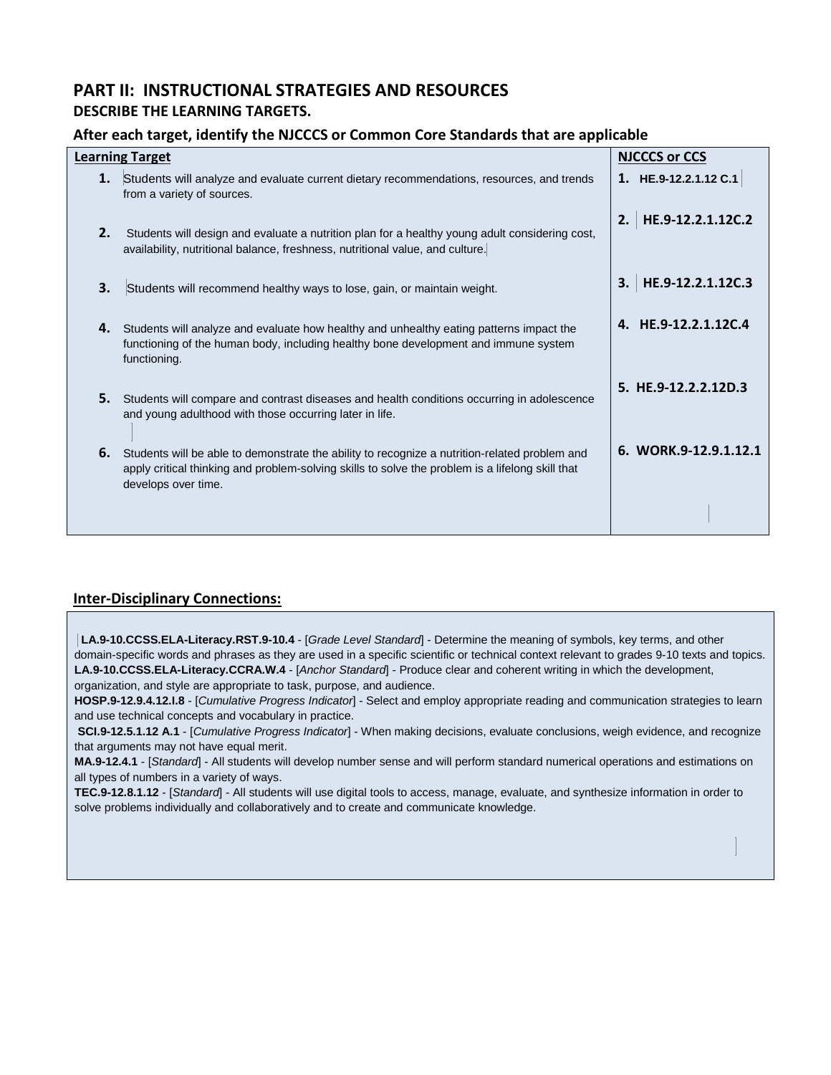## **PART II: INSTRUCTIONAL STRATEGIES AND RESOURCES DESCRIBE THE LEARNING TARGETS.**

#### **After each target, identify the NJCCCS or Common Core Standards that are applicable**

|    | <b>Learning Target</b>                                                                                                                                                                                                   | <b>NJCCCS or CCS</b>    |
|----|--------------------------------------------------------------------------------------------------------------------------------------------------------------------------------------------------------------------------|-------------------------|
| 1. | Students will analyze and evaluate current dietary recommendations, resources, and trends<br>from a variety of sources.                                                                                                  | 1. HE.9-12.2.1.12 C.1   |
| 2. | Students will design and evaluate a nutrition plan for a healthy young adult considering cost,<br>availability, nutritional balance, freshness, nutritional value, and culture.                                          | HE.9-12.2.1.12C.2<br>2. |
| 3. | Students will recommend healthy ways to lose, gain, or maintain weight.                                                                                                                                                  | HE.9-12.2.1.12C.3<br>3. |
| 4. | Students will analyze and evaluate how healthy and unhealthy eating patterns impact the<br>functioning of the human body, including healthy bone development and immune system<br>functioning.                           | 4. HE.9-12.2.1.12C.4    |
| 5. | Students will compare and contrast diseases and health conditions occurring in adolescence<br>and young adulthood with those occurring later in life.                                                                    | 5. HE.9-12.2.2.12D.3    |
| 6. | Students will be able to demonstrate the ability to recognize a nutrition-related problem and<br>apply critical thinking and problem-solving skills to solve the problem is a lifelong skill that<br>develops over time. | 6. WORK.9-12.9.1.12.1   |
|    |                                                                                                                                                                                                                          |                         |

#### **Inter-Disciplinary Connections:**

**LA.9-10.CCSS.ELA-Literacy.RST.9-10.4** - [*Grade Level Standard*] - Determine the meaning of symbols, key terms, and other domain-specific words and phrases as they are used in a specific scientific or technical context relevant to grades 9-10 texts and topics. **LA.9-10.CCSS.ELA-Literacy.CCRA.W.4** - [*Anchor Standard*] - Produce clear and coherent writing in which the development, organization, and style are appropriate to task, purpose, and audience.

**HOSP.9-12.9.4.12.I.8** - [*Cumulative Progress Indicator*] - Select and employ appropriate reading and communication strategies to learn and use technical concepts and vocabulary in practice.

**SCI.9-12.5.1.12 A.1** - [*Cumulative Progress Indicator*] - When making decisions, evaluate conclusions, weigh evidence, and recognize that arguments may not have equal merit.

**MA.9-12.4.1** - [*Standard*] - All students will develop number sense and will perform standard numerical operations and estimations on all types of numbers in a variety of ways.

**TEC.9-12.8.1.12** - [*Standard*] - All students will use digital tools to access, manage, evaluate, and synthesize information in order to solve problems individually and collaboratively and to create and communicate knowledge.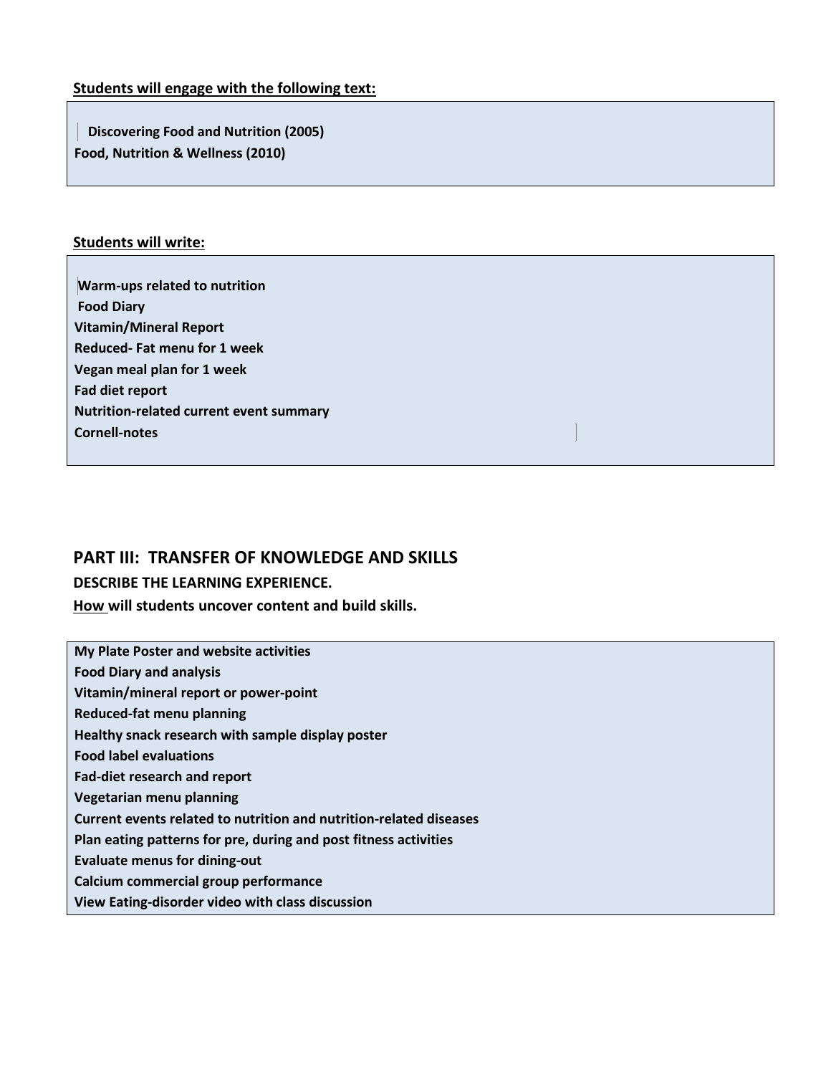## **Students will engage with the following text:**

 **Discovering Food and Nutrition (2005) Food, Nutrition & Wellness (2010)** 

## **Students will write:**

**Warm-ups related to nutrition Food Diary Vitamin/Mineral Report Reduced- Fat menu for 1 week Vegan meal plan for 1 week Fad diet report Nutrition-related current event summary Cornell-notes** 

## **PART III: TRANSFER OF KNOWLEDGE AND SKILLS**

## **DESCRIBE THE LEARNING EXPERIENCE.**

**How will students uncover content and build skills.**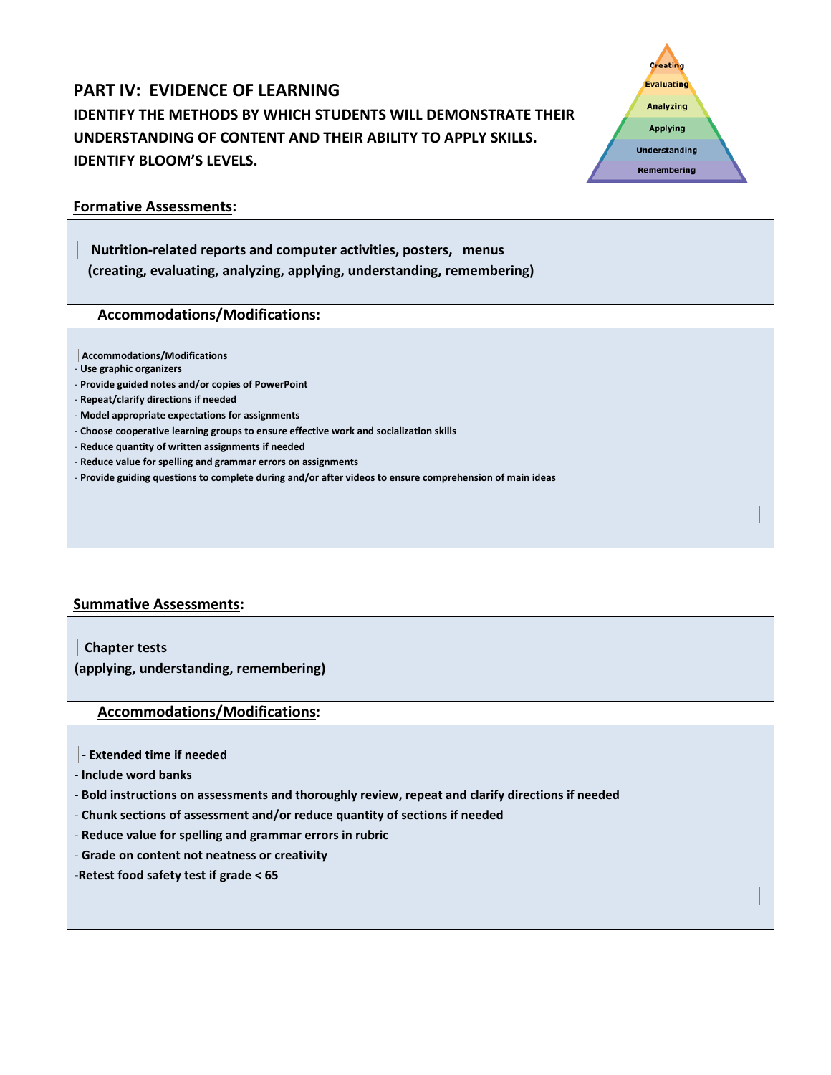# **PART IV: EVIDENCE OF LEARNING IDENTIFY THE METHODS BY WHICH STUDENTS WILL DEMONSTRATE THEIR UNDERSTANDING OF CONTENT AND THEIR ABILITY TO APPLY SKILLS. IDENTIFY BLOOM'S LEVELS.**

#### **Formative Assessments:**

 **Nutrition-related reports and computer activities, posters, menus (creating, evaluating, analyzing, applying, understanding, remembering)** 

#### **Accommodations/Modifications:**

**Accommodations/Modifications** 

- **Use graphic organizers**
- **Provide guided notes and/or copies of PowerPoint**
- **Repeat/clarify directions if needed**
- **Model appropriate expectations for assignments**
- **Choose cooperative learning groups to ensure effective work and socialization skills**
- **Reduce quantity of written assignments if needed**
- **Reduce value for spelling and grammar errors on assignments**
- **Provide guiding questions to complete during and/or after videos to ensure comprehension of main ideas**

#### **Summative Assessments:**

 **Chapter tests (applying, understanding, remembering)** 

#### **Accommodations/Modifications:**

- **Extended time if needed**
- **Include word banks**
- **Bold instructions on assessments and thoroughly review, repeat and clarify directions if needed**
- **Chunk sections of assessment and/or reduce quantity of sections if needed**
- **Reduce value for spelling and grammar errors in rubric**
- **Grade on content not neatness or creativity**
- **-Retest food safety test if grade < 65**

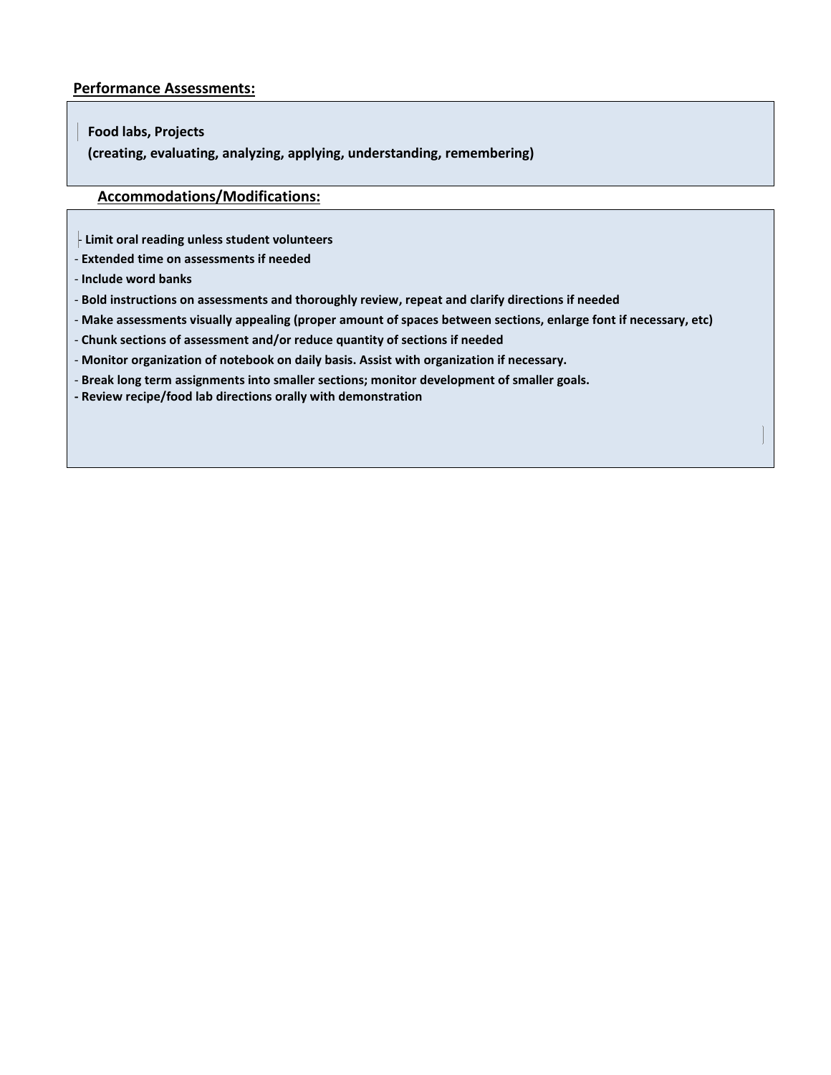#### **Performance Assessments:**

#### **Food labs, Projects**

 **(creating, evaluating, analyzing, applying, understanding, remembering)** 

#### **Accommodations/Modifications:**

- **Limit oral reading unless student volunteers** 

- **Extended time on assessments if needed**
- **Include word banks**
- **Bold instructions on assessments and thoroughly review, repeat and clarify directions if needed**
- **Make assessments visually appealing (proper amount of spaces between sections, enlarge font if necessary, etc)**
- **Chunk sections of assessment and/or reduce quantity of sections if needed**
- **Monitor organization of notebook on daily basis. Assist with organization if necessary.**
- **Break long term assignments into smaller sections; monitor development of smaller goals.**
- **- Review recipe/food lab directions orally with demonstration**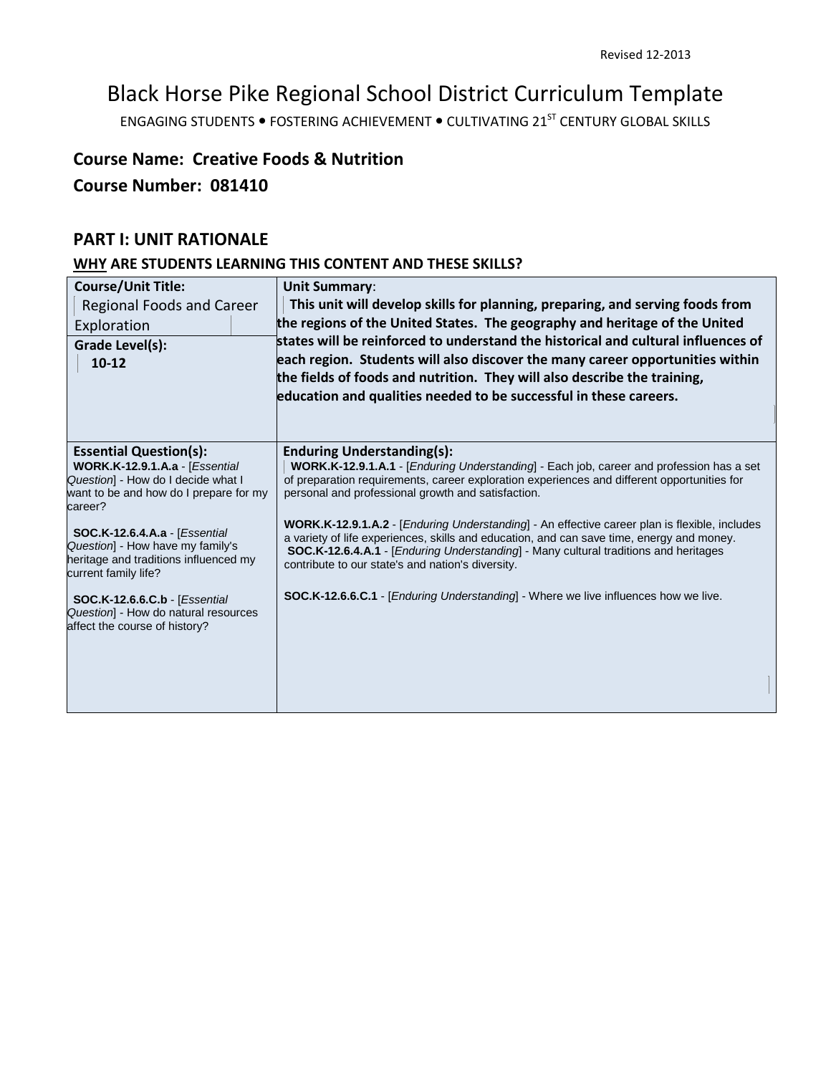# Black Horse Pike Regional School District Curriculum Template

ENGAGING STUDENTS . FOSTERING ACHIEVEMENT . CULTIVATING 21<sup>ST</sup> CENTURY GLOBAL SKILLS

# **Course Name: Creative Foods & Nutrition**

## **Course Number: 081410**

## **PART I: UNIT RATIONALE**

## **WHY ARE STUDENTS LEARNING THIS CONTENT AND THESE SKILLS?**

| <b>Course/Unit Title:</b>                                                    | <b>Unit Summary:</b>                                                                                                                              |
|------------------------------------------------------------------------------|---------------------------------------------------------------------------------------------------------------------------------------------------|
| Regional Foods and Career                                                    | This unit will develop skills for planning, preparing, and serving foods from                                                                     |
| Exploration                                                                  | the regions of the United States. The geography and heritage of the United                                                                        |
| Grade Level(s):                                                              | states will be reinforced to understand the historical and cultural influences of                                                                 |
| $10 - 12$                                                                    | each region. Students will also discover the many career opportunities within                                                                     |
|                                                                              | the fields of foods and nutrition. They will also describe the training,                                                                          |
|                                                                              | education and qualities needed to be successful in these careers.                                                                                 |
|                                                                              |                                                                                                                                                   |
| <b>Essential Question(s):</b>                                                | <b>Enduring Understanding(s):</b>                                                                                                                 |
| WORK.K-12.9.1.A.a - [Essential                                               | WORK.K-12.9.1.A.1 - [ <i>Enduring Understanding</i> ] - Each job, career and profession has a set                                                 |
| Question] - How do I decide what I<br>want to be and how do I prepare for my | of preparation requirements, career exploration experiences and different opportunities for<br>personal and professional growth and satisfaction. |
| career?                                                                      |                                                                                                                                                   |
|                                                                              | <b>WORK.K-12.9.1.A.2</b> - [ <i>Enduring Understanding</i> ] - An effective career plan is flexible, includes                                     |
| <b>SOC.K-12.6.4.A.a - [Essential</b><br>Question] - How have my family's     | a variety of life experiences, skills and education, and can save time, energy and money.                                                         |
| heritage and traditions influenced my                                        | SOC.K-12.6.4.A.1 - [Enduring Understanding] - Many cultural traditions and heritages<br>contribute to our state's and nation's diversity.         |
| current family life?                                                         |                                                                                                                                                   |
| <b>SOC.K-12.6.6.C.b - [Essential</b>                                         | <b>SOC.K-12.6.6.C.1</b> - [ <i>Enduring Understanding</i> ] - Where we live influences how we live.                                               |
| Question] - How do natural resources<br>affect the course of history?        |                                                                                                                                                   |
|                                                                              |                                                                                                                                                   |
|                                                                              |                                                                                                                                                   |
|                                                                              |                                                                                                                                                   |
|                                                                              |                                                                                                                                                   |
|                                                                              |                                                                                                                                                   |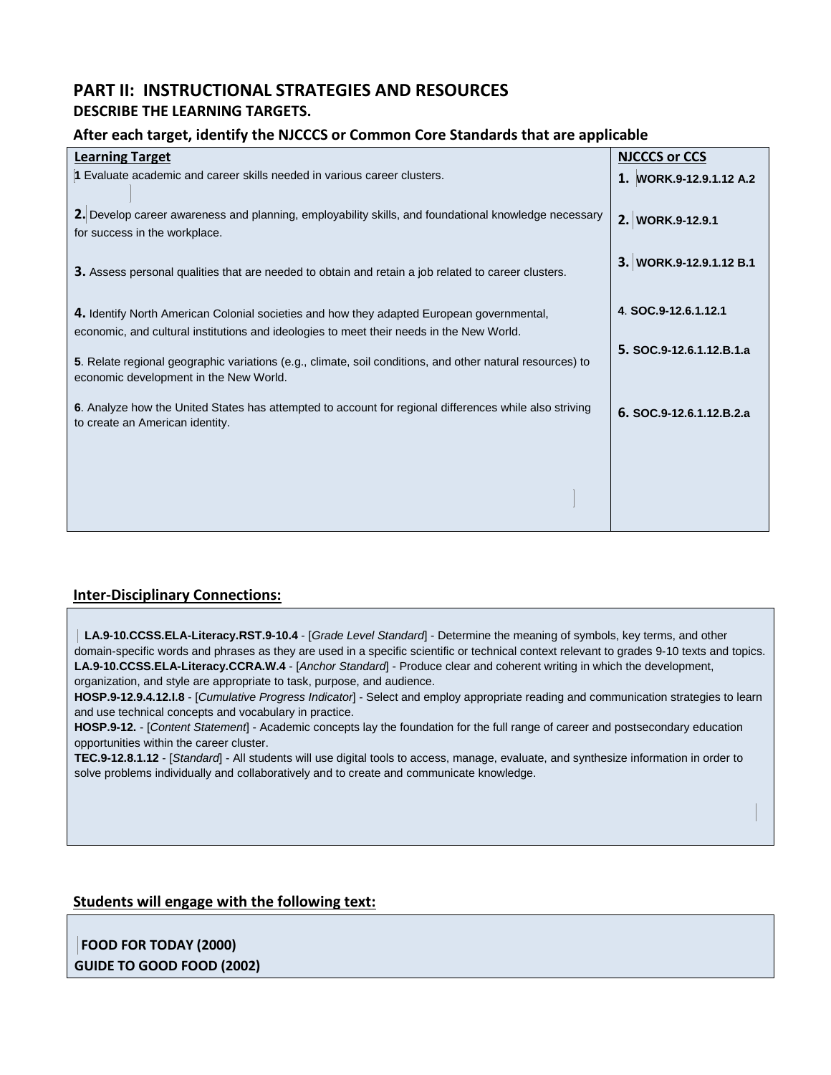## **PART II: INSTRUCTIONAL STRATEGIES AND RESOURCES DESCRIBE THE LEARNING TARGETS.**

#### **After each target, identify the NJCCCS or Common Core Standards that are applicable**

| <b>NJCCCS or CCS</b>     |
|--------------------------|
| 1. WORK.9-12.9.1.12 A.2  |
| 2. WORK.9-12.9.1         |
| 3. WORK.9-12.9.1.12 B.1  |
| 4. SOC.9-12.6.1.12.1     |
| 5. SOC.9-12.6.1.12.B.1.a |
| 6. SOC.9-12.6.1.12.B.2.a |
|                          |
|                          |
|                          |

#### **Inter-Disciplinary Connections:**

 **LA.9-10.CCSS.ELA-Literacy.RST.9-10.4** - [*Grade Level Standard*] - Determine the meaning of symbols, key terms, and other domain-specific words and phrases as they are used in a specific scientific or technical context relevant to grades 9-10 texts and topics. **LA.9-10.CCSS.ELA-Literacy.CCRA.W.4** - [*Anchor Standard*] - Produce clear and coherent writing in which the development, organization, and style are appropriate to task, purpose, and audience.

**HOSP.9-12.9.4.12.I.8** - [*Cumulative Progress Indicator*] - Select and employ appropriate reading and communication strategies to learn and use technical concepts and vocabulary in practice.

**HOSP.9-12.** - [*Content Statement*] - Academic concepts lay the foundation for the full range of career and postsecondary education opportunities within the career cluster.

**TEC.9-12.8.1.12** - [*Standard*] - All students will use digital tools to access, manage, evaluate, and synthesize information in order to solve problems individually and collaboratively and to create and communicate knowledge.

#### **Students will engage with the following text:**

**FOOD FOR TODAY (2000) GUIDE TO GOOD FOOD (2002)**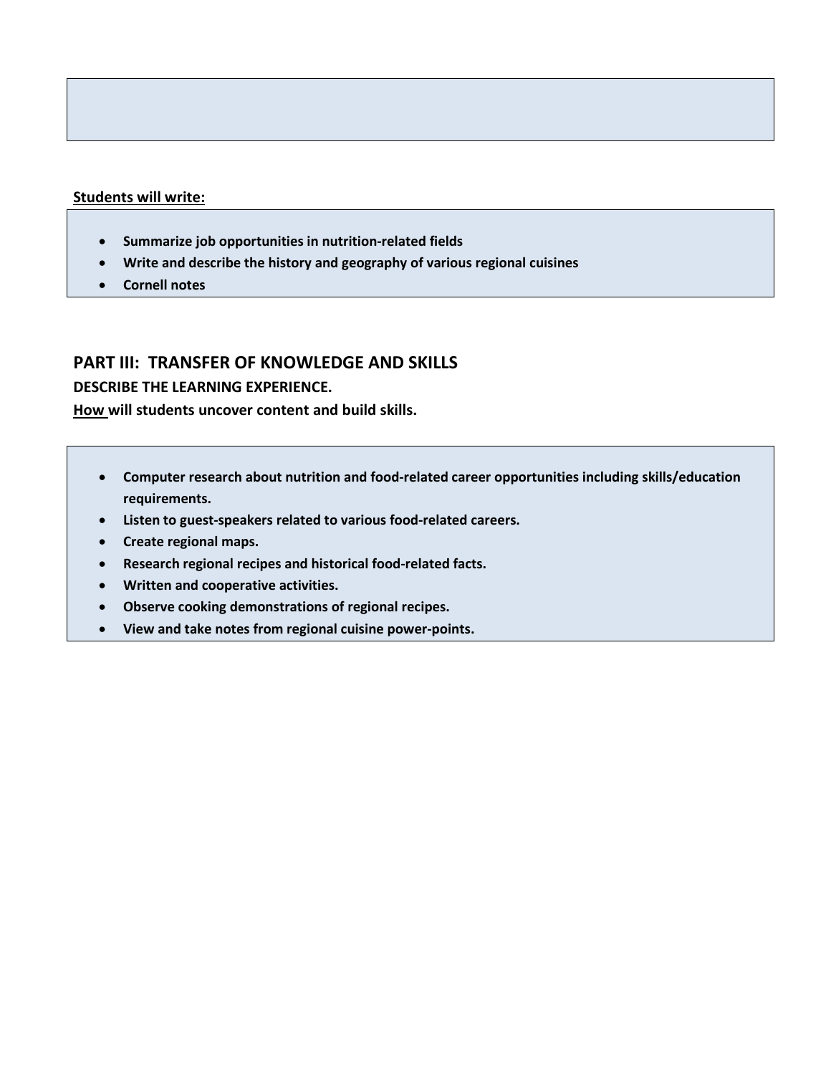#### **Students will write:**

- **Summarize job opportunities in nutrition-related fields**
- **Write and describe the history and geography of various regional cuisines**
- **Cornell notes**

## **PART III: TRANSFER OF KNOWLEDGE AND SKILLS**

#### **DESCRIBE THE LEARNING EXPERIENCE.**

**How will students uncover content and build skills.** 

- **Computer research about nutrition and food-related career opportunities including skills/education requirements.**
- **Listen to guest-speakers related to various food-related careers.**
- **Create regional maps.**
- **Research regional recipes and historical food-related facts.**
- **Written and cooperative activities.**
- **Observe cooking demonstrations of regional recipes.**
- **View and take notes from regional cuisine power-points.**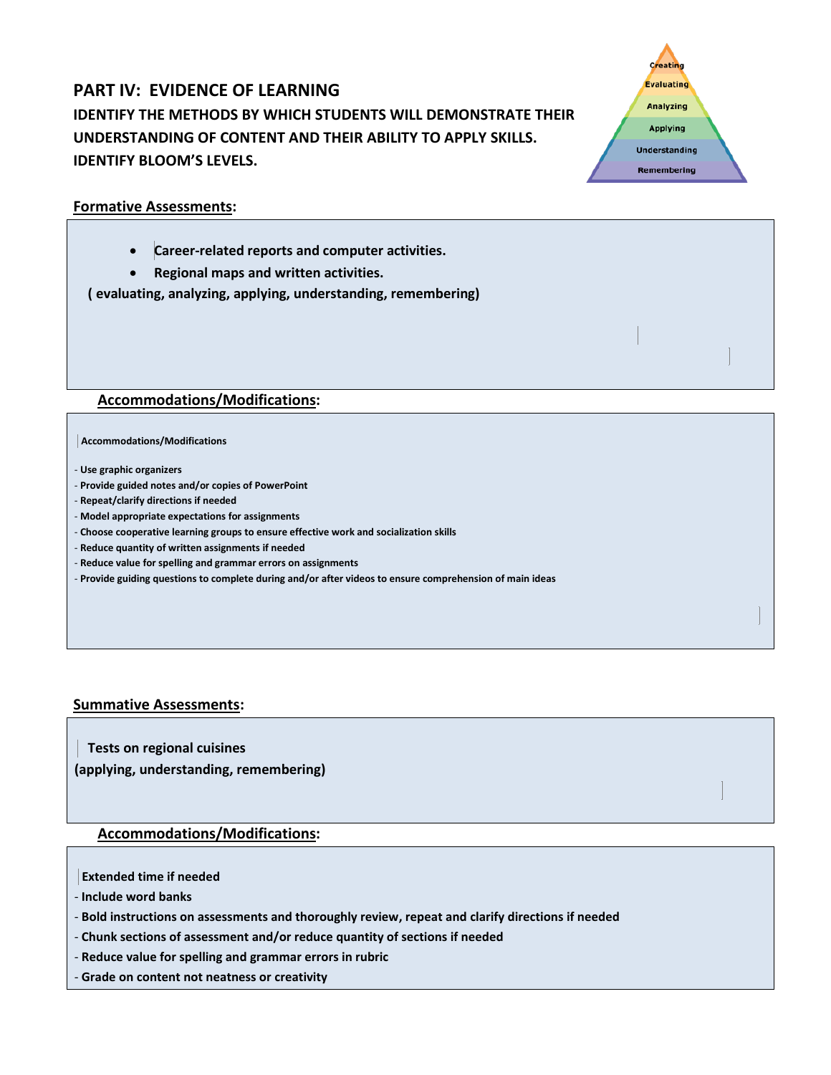# **PART IV: EVIDENCE OF LEARNING IDENTIFY THE METHODS BY WHICH STUDENTS WILL DEMONSTRATE THEIR UNDERSTANDING OF CONTENT AND THEIR ABILITY TO APPLY SKILLS. IDENTIFY BLOOM'S LEVELS.**



#### **Formative Assessments:**

- **Career-related reports and computer activities.**
- **Regional maps and written activities.**

 **( evaluating, analyzing, applying, understanding, remembering)** 

#### **Accommodations/Modifications:**

#### **Accommodations/Modifications**

- **Use graphic organizers**
- **Provide guided notes and/or copies of PowerPoint**
- **Repeat/clarify directions if needed**
- **Model appropriate expectations for assignments**
- **Choose cooperative learning groups to ensure effective work and socialization skills**
- **Reduce quantity of written assignments if needed**
- **Reduce value for spelling and grammar errors on assignments**
- **Provide guiding questions to complete during and/or after videos to ensure comprehension of main ideas**

#### **Summative Assessments:**

 **Tests on regional cuisines (applying, understanding, remembering)** 

#### **Accommodations/Modifications:**

**Extended time if needed** 

- **Include word banks**
- **Bold instructions on assessments and thoroughly review, repeat and clarify directions if needed**
- **Chunk sections of assessment and/or reduce quantity of sections if needed**
- **Reduce value for spelling and grammar errors in rubric**
- **Grade on content not neatness or creativity**